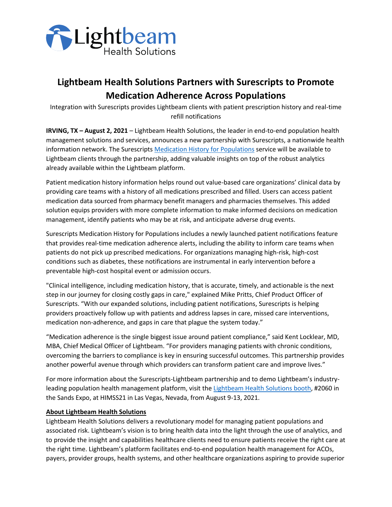

## **Lightbeam Health Solutions Partners with Surescripts to Promote Medication Adherence Across Populations**

Integration with Surescripts provides Lightbeam clients with patient prescription history and real-time refill notifications

**IRVING, TX – August 2, 2021** – Lightbeam Health Solutions, the leader in end-to-end population health management solutions and services, announces a new partnership with Surescripts, a nationwide health information network. The Surescripts Medication History for Populations service will be available to Lightbeam clients through the partnership, adding valuable insights on top of the robust analytics already available within the Lightbeam platform.

Patient medication history information helps round out value-based care organizations' clinical data by providing care teams with a history of all medications prescribed and filled. Users can access patient medication data sourced from pharmacy benefit managers and pharmacies themselves. This added solution equips providers with more complete information to make informed decisions on medication management, identify patients who may be at risk, and anticipate adverse drug events.

Surescripts Medication History for Populations includes a newly launched patient notifications feature that provides real-time medication adherence alerts, including the ability to inform care teams when patients do not pick up prescribed medications. For organizations managing high-risk, high-cost conditions such as diabetes, these notifications are instrumental in early intervention before a preventable high-cost hospital event or admission occurs.

"Clinical intelligence, including medication history, that is accurate, timely, and actionable is the next step in our journey for closing costly gaps in care," explained Mike Pritts, Chief Product Officer of Surescripts. "With our expanded solutions, including patient notifications, Surescripts is helping providers proactively follow up with patients and address lapses in care, missed care interventions, medication non-adherence, and gaps in care that plague the system today."

"Medication adherence is the single biggest issue around patient compliance," said Kent Locklear, MD, MBA, Chief Medical Officer of Lightbeam. "For providers managing patients with chronic conditions, overcoming the barriers to compliance is key in ensuring successful outcomes. This partnership provides another powerful avenue through which providers can transform patient care and improve lives."

For more information about the Surescripts-Lightbeam partnership and to demo Lightbeam's industryleading population health management platform, visit the Lightbeam Health Solutions booth, #2060 in the Sands Expo, at HIMSS21 in Las Vegas, Nevada, from August 9-13, 2021.

## **About Lightbeam Health Solutions**

Lightbeam Health Solutions delivers a revolutionary model for managing patient populations and associated risk. Lightbeam's vision is to bring health data into the light through the use of analytics, and to provide the insight and capabilities healthcare clients need to ensure patients receive the right care at the right time. Lightbeam's platform facilitates end-to-end population health management for ACOs, payers, provider groups, health systems, and other healthcare organizations aspiring to provide superior